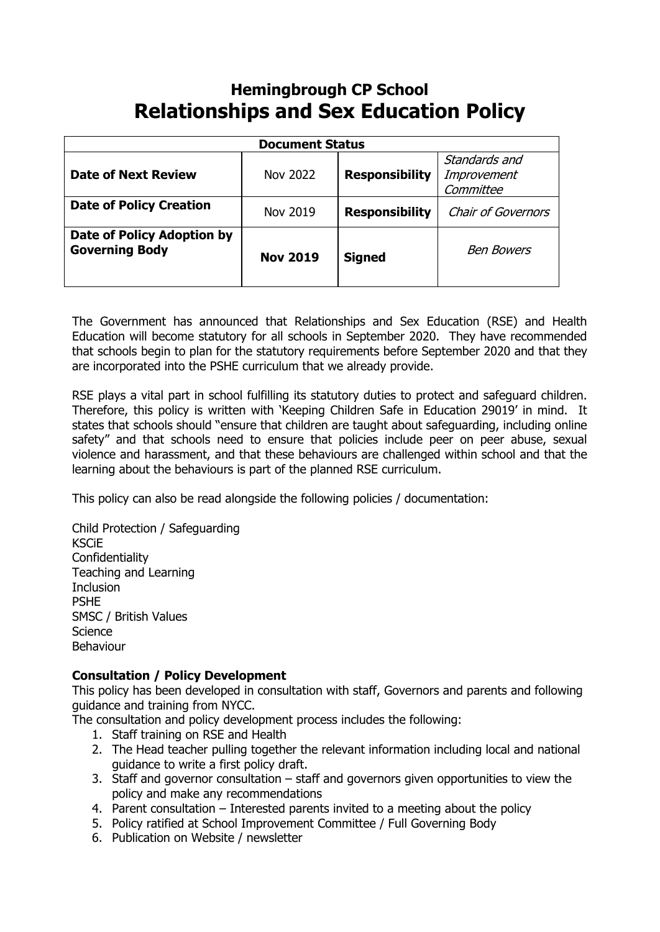# **Hemingbrough CP School Relationships and Sex Education Policy**

| <b>Document Status</b>                              |                 |                       |                                           |
|-----------------------------------------------------|-----------------|-----------------------|-------------------------------------------|
| <b>Date of Next Review</b>                          | Nov 2022        | <b>Responsibility</b> | Standards and<br>Improvement<br>Committee |
| <b>Date of Policy Creation</b>                      | Nov 2019        | <b>Responsibility</b> | <b>Chair of Governors</b>                 |
| Date of Policy Adoption by<br><b>Governing Body</b> | <b>Nov 2019</b> | <b>Signed</b>         | Ben Bowers                                |

The Government has announced that Relationships and Sex Education (RSE) and Health Education will become statutory for all schools in September 2020. They have recommended that schools begin to plan for the statutory requirements before September 2020 and that they are incorporated into the PSHE curriculum that we already provide.

RSE plays a vital part in school fulfilling its statutory duties to protect and safeguard children. Therefore, this policy is written with 'Keeping Children Safe in Education 29019' in mind. It states that schools should "ensure that children are taught about safeguarding, including online safety" and that schools need to ensure that policies include peer on peer abuse, sexual violence and harassment, and that these behaviours are challenged within school and that the learning about the behaviours is part of the planned RSE curriculum.

This policy can also be read alongside the following policies / documentation:

Child Protection / Safeguarding KSCiE Confidentiality Teaching and Learning **Inclusion** PSHE SMSC / British Values Science Behaviour

# **Consultation / Policy Development**

This policy has been developed in consultation with staff, Governors and parents and following guidance and training from NYCC.

The consultation and policy development process includes the following:

- 1. Staff training on RSE and Health
- 2. The Head teacher pulling together the relevant information including local and national guidance to write a first policy draft.
- 3. Staff and governor consultation staff and governors given opportunities to view the policy and make any recommendations
- 4. Parent consultation Interested parents invited to a meeting about the policy
- 5. Policy ratified at School Improvement Committee / Full Governing Body
- 6. Publication on Website / newsletter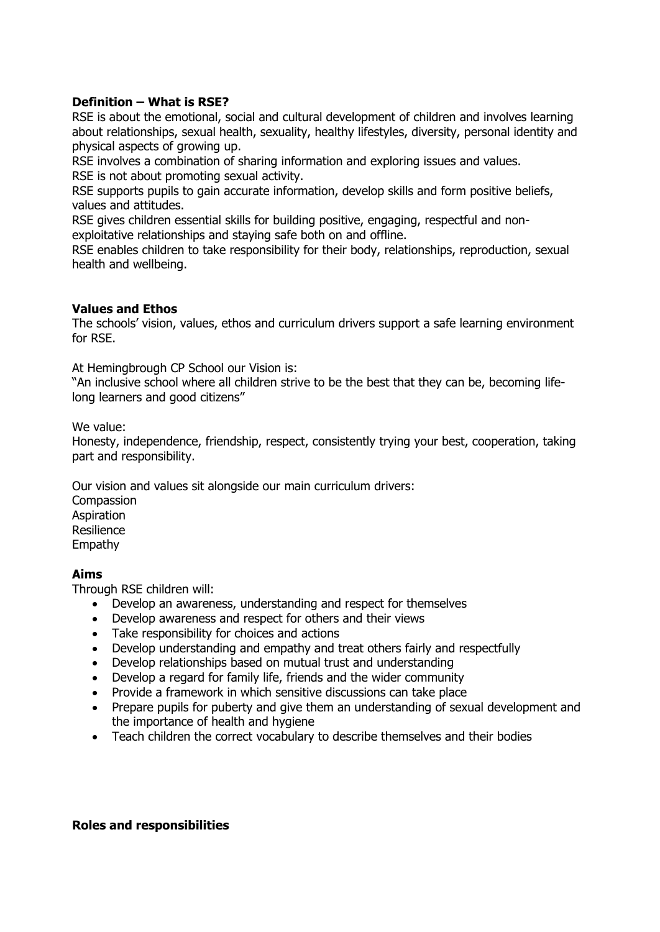### **Definition – What is RSE?**

RSE is about the emotional, social and cultural development of children and involves learning about relationships, sexual health, sexuality, healthy lifestyles, diversity, personal identity and physical aspects of growing up.

RSE involves a combination of sharing information and exploring issues and values. RSE is not about promoting sexual activity.

RSE supports pupils to gain accurate information, develop skills and form positive beliefs, values and attitudes.

RSE gives children essential skills for building positive, engaging, respectful and nonexploitative relationships and staying safe both on and offline.

RSE enables children to take responsibility for their body, relationships, reproduction, sexual health and wellbeing.

### **Values and Ethos**

The schools' vision, values, ethos and curriculum drivers support a safe learning environment for RSE.

At Hemingbrough CP School our Vision is:

"An inclusive school where all children strive to be the best that they can be, becoming lifelong learners and good citizens"

We value:

Honesty, independence, friendship, respect, consistently trying your best, cooperation, taking part and responsibility.

Our vision and values sit alongside our main curriculum drivers:

**Compassion** Aspiration Resilience Empathy

### **Aims**

Through RSE children will:

- Develop an awareness, understanding and respect for themselves
- Develop awareness and respect for others and their views
- Take responsibility for choices and actions
- Develop understanding and empathy and treat others fairly and respectfully
- Develop relationships based on mutual trust and understanding
- Develop a regard for family life, friends and the wider community
- Provide a framework in which sensitive discussions can take place
- Prepare pupils for puberty and give them an understanding of sexual development and the importance of health and hygiene
- Teach children the correct vocabulary to describe themselves and their bodies

### **Roles and responsibilities**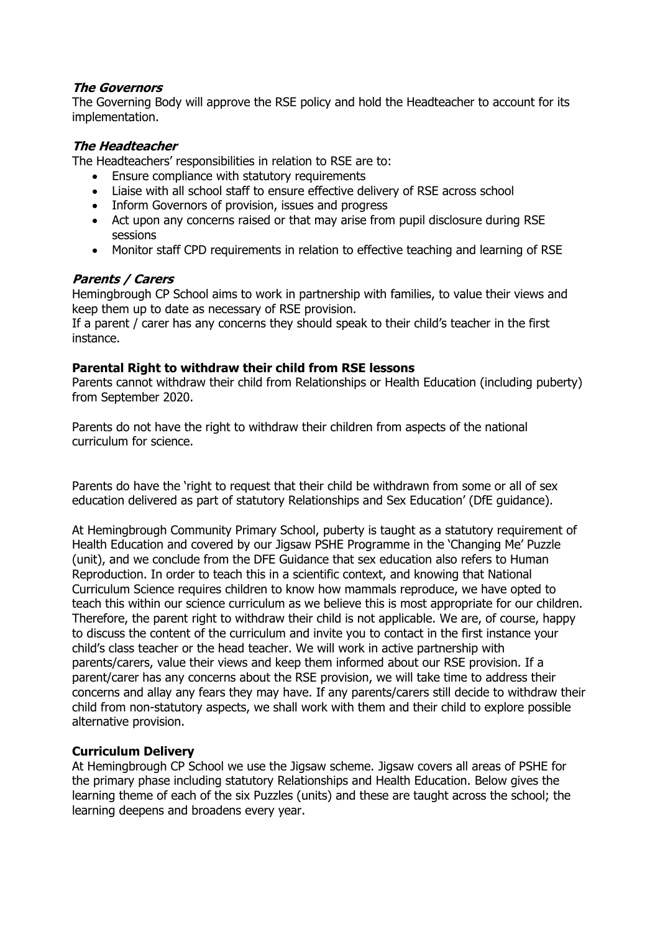### **The Governors**

The Governing Body will approve the RSE policy and hold the Headteacher to account for its implementation.

### **The Headteacher**

The Headteachers' responsibilities in relation to RSE are to:

- Ensure compliance with statutory requirements
- Liaise with all school staff to ensure effective delivery of RSE across school
- Inform Governors of provision, issues and progress
- Act upon any concerns raised or that may arise from pupil disclosure during RSE sessions
- Monitor staff CPD requirements in relation to effective teaching and learning of RSE

### **Parents / Carers**

Hemingbrough CP School aims to work in partnership with families, to value their views and keep them up to date as necessary of RSE provision.

If a parent / carer has any concerns they should speak to their child's teacher in the first instance.

### **Parental Right to withdraw their child from RSE lessons**

Parents cannot withdraw their child from Relationships or Health Education (including puberty) from September 2020.

Parents do not have the right to withdraw their children from aspects of the national curriculum for science.

Parents do have the 'right to request that their child be withdrawn from some or all of sex education delivered as part of statutory Relationships and Sex Education' (DfE guidance).

At Hemingbrough Community Primary School, puberty is taught as a statutory requirement of Health Education and covered by our Jigsaw PSHE Programme in the 'Changing Me' Puzzle (unit), and we conclude from the DFE Guidance that sex education also refers to Human Reproduction. In order to teach this in a scientific context, and knowing that National Curriculum Science requires children to know how mammals reproduce, we have opted to teach this within our science curriculum as we believe this is most appropriate for our children. Therefore, the parent right to withdraw their child is not applicable. We are, of course, happy to discuss the content of the curriculum and invite you to contact in the first instance your child's class teacher or the head teacher. We will work in active partnership with parents/carers, value their views and keep them informed about our RSE provision. If a parent/carer has any concerns about the RSE provision, we will take time to address their concerns and allay any fears they may have. If any parents/carers still decide to withdraw their child from non-statutory aspects, we shall work with them and their child to explore possible alternative provision.

### **Curriculum Delivery**

At Hemingbrough CP School we use the Jigsaw scheme. Jigsaw covers all areas of PSHE for the primary phase including statutory Relationships and Health Education. Below gives the learning theme of each of the six Puzzles (units) and these are taught across the school; the learning deepens and broadens every year.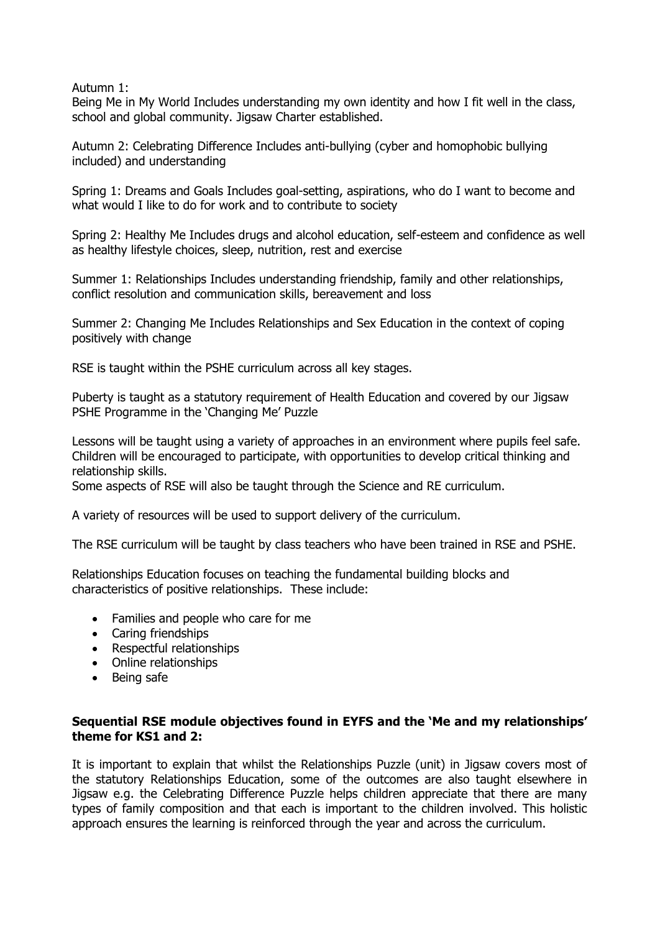Autumn 1:

Being Me in My World Includes understanding my own identity and how I fit well in the class, school and global community. Jigsaw Charter established.

Autumn 2: Celebrating Difference Includes anti-bullying (cyber and homophobic bullying included) and understanding

Spring 1: Dreams and Goals Includes goal-setting, aspirations, who do I want to become and what would I like to do for work and to contribute to society

Spring 2: Healthy Me Includes drugs and alcohol education, self-esteem and confidence as well as healthy lifestyle choices, sleep, nutrition, rest and exercise

Summer 1: Relationships Includes understanding friendship, family and other relationships, conflict resolution and communication skills, bereavement and loss

Summer 2: Changing Me Includes Relationships and Sex Education in the context of coping positively with change

RSE is taught within the PSHE curriculum across all key stages.

Puberty is taught as a statutory requirement of Health Education and covered by our Jigsaw PSHE Programme in the 'Changing Me' Puzzle

Lessons will be taught using a variety of approaches in an environment where pupils feel safe. Children will be encouraged to participate, with opportunities to develop critical thinking and relationship skills.

Some aspects of RSE will also be taught through the Science and RE curriculum.

A variety of resources will be used to support delivery of the curriculum.

The RSE curriculum will be taught by class teachers who have been trained in RSE and PSHE.

Relationships Education focuses on teaching the fundamental building blocks and characteristics of positive relationships. These include:

- Families and people who care for me
- Caring friendships
- Respectful relationships
- Online relationships
- Being safe

### **Sequential RSE module objectives found in EYFS and the 'Me and my relationships' theme for KS1 and 2:**

It is important to explain that whilst the Relationships Puzzle (unit) in Jigsaw covers most of the statutory Relationships Education, some of the outcomes are also taught elsewhere in Jigsaw e.g. the Celebrating Difference Puzzle helps children appreciate that there are many types of family composition and that each is important to the children involved. This holistic approach ensures the learning is reinforced through the year and across the curriculum.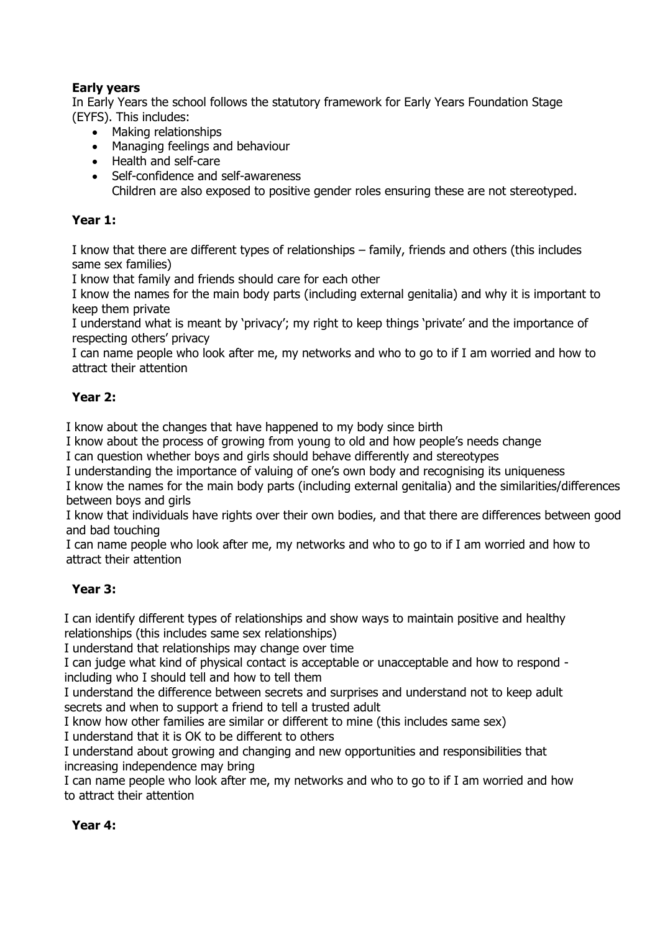# **Early years**

In Early Years the school follows the statutory framework for Early Years Foundation Stage (EYFS). This includes:

- Making relationships
- Managing feelings and behaviour
- Health and self-care
- Self-confidence and self-awareness Children are also exposed to positive gender roles ensuring these are not stereotyped.

# **Year 1:**

I know that there are different types of relationships – family, friends and others (this includes same sex families)

I know that family and friends should care for each other

I know the names for the main body parts (including external genitalia) and why it is important to keep them private

I understand what is meant by 'privacy'; my right to keep things 'private' and the importance of respecting others' privacy

I can name people who look after me, my networks and who to go to if I am worried and how to attract their attention

# **Year 2:**

I know about the changes that have happened to my body since birth

I know about the process of growing from young to old and how people's needs change

I can question whether boys and girls should behave differently and stereotypes

I understanding the importance of valuing of one's own body and recognising its uniqueness

I know the names for the main body parts (including external genitalia) and the similarities/differences between boys and girls

I know that individuals have rights over their own bodies, and that there are differences between good and bad touching

I can name people who look after me, my networks and who to go to if I am worried and how to attract their attention

# **Year 3:**

I can identify different types of relationships and show ways to maintain positive and healthy relationships (this includes same sex relationships)

I understand that relationships may change over time

I can judge what kind of physical contact is acceptable or unacceptable and how to respond including who I should tell and how to tell them

I understand the difference between secrets and surprises and understand not to keep adult secrets and when to support a friend to tell a trusted adult

I know how other families are similar or different to mine (this includes same sex)

I understand that it is OK to be different to others

I understand about growing and changing and new opportunities and responsibilities that increasing independence may bring

I can name people who look after me, my networks and who to go to if I am worried and how to attract their attention

# **Year 4:**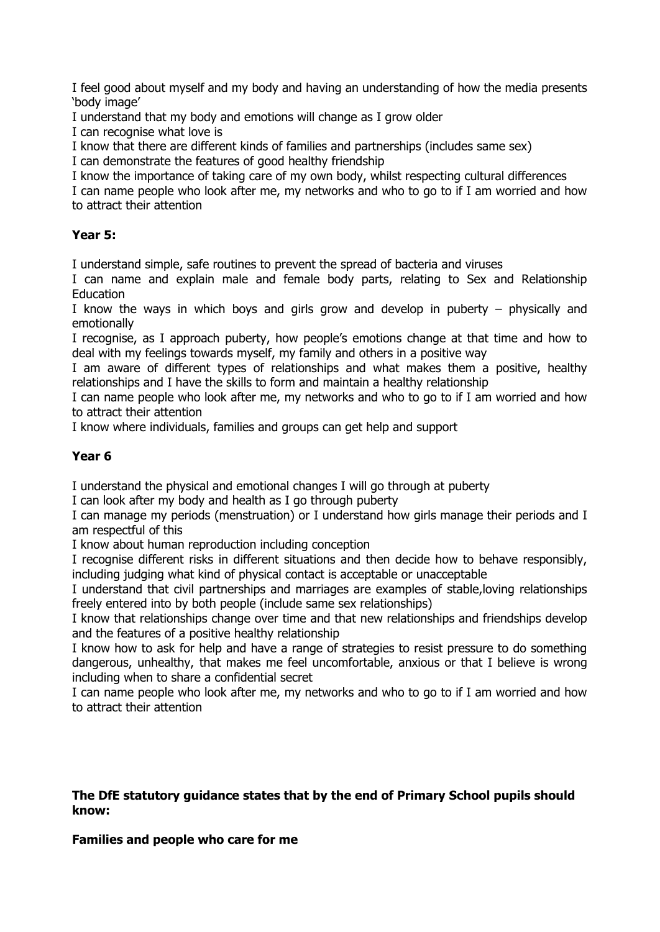I feel good about myself and my body and having an understanding of how the media presents 'body image'

I understand that my body and emotions will change as I grow older

I can recognise what love is

I know that there are different kinds of families and partnerships (includes same sex)

I can demonstrate the features of good healthy friendship

I know the importance of taking care of my own body, whilst respecting cultural differences

I can name people who look after me, my networks and who to go to if I am worried and how to attract their attention

### **Year 5:**

I understand simple, safe routines to prevent the spread of bacteria and viruses

I can name and explain male and female body parts, relating to Sex and Relationship **Education** 

I know the ways in which boys and girls grow and develop in puberty  $-$  physically and emotionally

I recognise, as I approach puberty, how people's emotions change at that time and how to deal with my feelings towards myself, my family and others in a positive way

I am aware of different types of relationships and what makes them a positive, healthy relationships and I have the skills to form and maintain a healthy relationship

I can name people who look after me, my networks and who to go to if I am worried and how to attract their attention

I know where individuals, families and groups can get help and support

### **Year 6**

I understand the physical and emotional changes I will go through at puberty

I can look after my body and health as I go through puberty

I can manage my periods (menstruation) or I understand how girls manage their periods and I am respectful of this

I know about human reproduction including conception

I recognise different risks in different situations and then decide how to behave responsibly, including judging what kind of physical contact is acceptable or unacceptable

I understand that civil partnerships and marriages are examples of stable,loving relationships freely entered into by both people (include same sex relationships)

I know that relationships change over time and that new relationships and friendships develop and the features of a positive healthy relationship

I know how to ask for help and have a range of strategies to resist pressure to do something dangerous, unhealthy, that makes me feel uncomfortable, anxious or that I believe is wrong including when to share a confidential secret

I can name people who look after me, my networks and who to go to if I am worried and how to attract their attention

### **The DfE statutory guidance states that by the end of Primary School pupils should know:**

### **Families and people who care for me**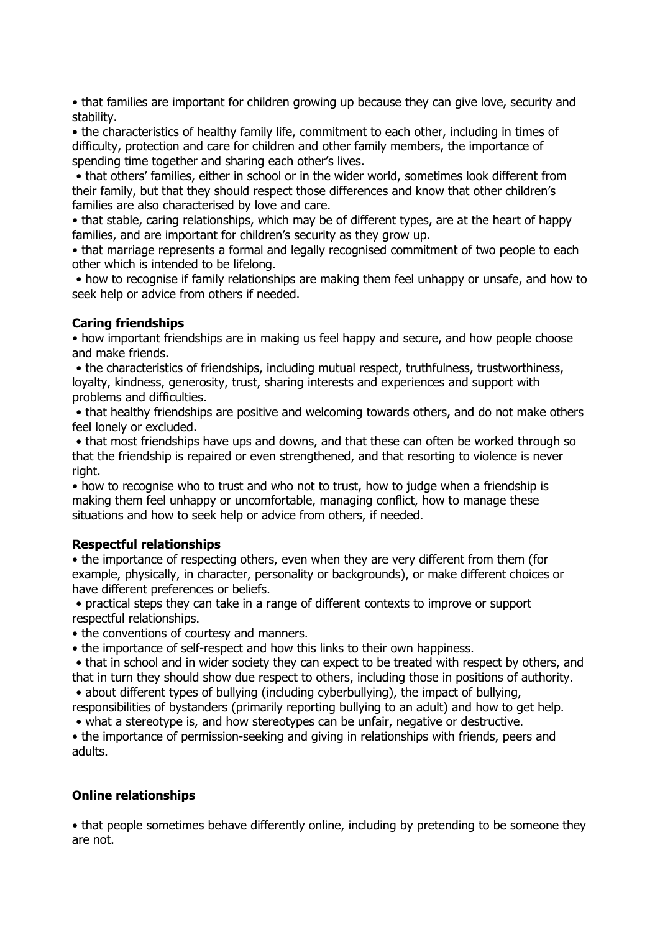• that families are important for children growing up because they can give love, security and stability.

• the characteristics of healthy family life, commitment to each other, including in times of difficulty, protection and care for children and other family members, the importance of spending time together and sharing each other's lives.

• that others' families, either in school or in the wider world, sometimes look different from their family, but that they should respect those differences and know that other children's families are also characterised by love and care.

• that stable, caring relationships, which may be of different types, are at the heart of happy families, and are important for children's security as they grow up.

• that marriage represents a formal and legally recognised commitment of two people to each other which is intended to be lifelong.

• how to recognise if family relationships are making them feel unhappy or unsafe, and how to seek help or advice from others if needed.

### **Caring friendships**

• how important friendships are in making us feel happy and secure, and how people choose and make friends.

• the characteristics of friendships, including mutual respect, truthfulness, trustworthiness, loyalty, kindness, generosity, trust, sharing interests and experiences and support with problems and difficulties.

• that healthy friendships are positive and welcoming towards others, and do not make others feel lonely or excluded.

• that most friendships have ups and downs, and that these can often be worked through so that the friendship is repaired or even strengthened, and that resorting to violence is never right.

• how to recognise who to trust and who not to trust, how to judge when a friendship is making them feel unhappy or uncomfortable, managing conflict, how to manage these situations and how to seek help or advice from others, if needed.

### **Respectful relationships**

• the importance of respecting others, even when they are very different from them (for example, physically, in character, personality or backgrounds), or make different choices or have different preferences or beliefs.

• practical steps they can take in a range of different contexts to improve or support respectful relationships.

• the conventions of courtesy and manners.

• the importance of self-respect and how this links to their own happiness.

• that in school and in wider society they can expect to be treated with respect by others, and that in turn they should show due respect to others, including those in positions of authority.

• about different types of bullying (including cyberbullying), the impact of bullying, responsibilities of bystanders (primarily reporting bullying to an adult) and how to get help.

• what a stereotype is, and how stereotypes can be unfair, negative or destructive.

• the importance of permission-seeking and giving in relationships with friends, peers and adults.

### **Online relationships**

• that people sometimes behave differently online, including by pretending to be someone they are not.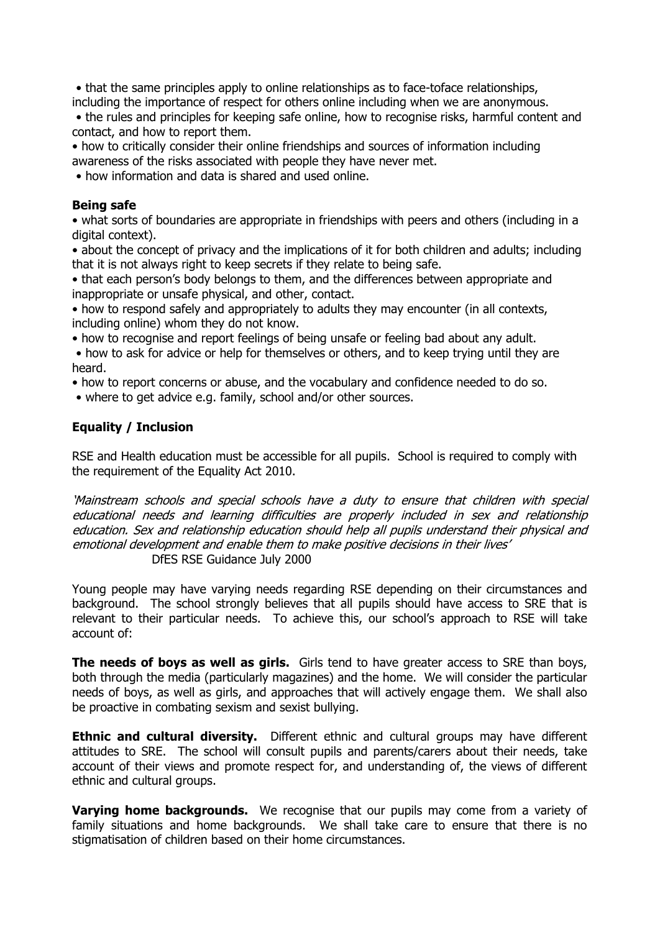• that the same principles apply to online relationships as to face-toface relationships, including the importance of respect for others online including when we are anonymous.

• the rules and principles for keeping safe online, how to recognise risks, harmful content and contact, and how to report them.

• how to critically consider their online friendships and sources of information including awareness of the risks associated with people they have never met.

• how information and data is shared and used online.

### **Being safe**

• what sorts of boundaries are appropriate in friendships with peers and others (including in a digital context).

• about the concept of privacy and the implications of it for both children and adults; including that it is not always right to keep secrets if they relate to being safe.

• that each person's body belongs to them, and the differences between appropriate and inappropriate or unsafe physical, and other, contact.

• how to respond safely and appropriately to adults they may encounter (in all contexts, including online) whom they do not know.

• how to recognise and report feelings of being unsafe or feeling bad about any adult.

• how to ask for advice or help for themselves or others, and to keep trying until they are heard.

• how to report concerns or abuse, and the vocabulary and confidence needed to do so.

• where to get advice e.g. family, school and/or other sources.

# **Equality / Inclusion**

RSE and Health education must be accessible for all pupils. School is required to comply with the requirement of the Equality Act 2010.

'Mainstream schools and special schools have a duty to ensure that children with special educational needs and learning difficulties are properly included in sex and relationship education. Sex and relationship education should help all pupils understand their physical and emotional development and enable them to make positive decisions in their lives' DfES RSE Guidance July 2000

Young people may have varying needs regarding RSE depending on their circumstances and background. The school strongly believes that all pupils should have access to SRE that is relevant to their particular needs. To achieve this, our school's approach to RSE will take account of:

**The needs of boys as well as girls.** Girls tend to have greater access to SRE than boys, both through the media (particularly magazines) and the home. We will consider the particular needs of boys, as well as girls, and approaches that will actively engage them. We shall also be proactive in combating sexism and sexist bullying.

**Ethnic and cultural diversity.** Different ethnic and cultural groups may have different attitudes to SRE. The school will consult pupils and parents/carers about their needs, take account of their views and promote respect for, and understanding of, the views of different ethnic and cultural groups.

**Varying home backgrounds.** We recognise that our pupils may come from a variety of family situations and home backgrounds. We shall take care to ensure that there is no stigmatisation of children based on their home circumstances.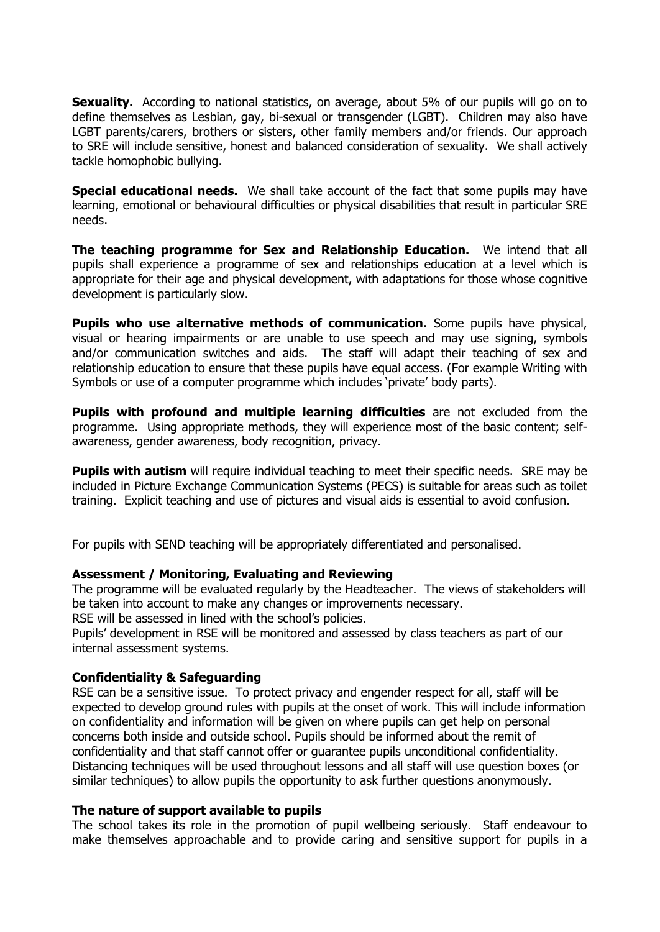**Sexuality.** According to national statistics, on average, about 5% of our pupils will go on to define themselves as Lesbian, gay, bi-sexual or transgender (LGBT). Children may also have LGBT parents/carers, brothers or sisters, other family members and/or friends. Our approach to SRE will include sensitive, honest and balanced consideration of sexuality. We shall actively tackle homophobic bullying.

**Special educational needs.** We shall take account of the fact that some pupils may have learning, emotional or behavioural difficulties or physical disabilities that result in particular SRE needs.

**The teaching programme for Sex and Relationship Education.** We intend that all pupils shall experience a programme of sex and relationships education at a level which is appropriate for their age and physical development, with adaptations for those whose cognitive development is particularly slow.

**Pupils who use alternative methods of communication.** Some pupils have physical, visual or hearing impairments or are unable to use speech and may use signing, symbols and/or communication switches and aids. The staff will adapt their teaching of sex and relationship education to ensure that these pupils have equal access. (For example Writing with Symbols or use of a computer programme which includes 'private' body parts).

**Pupils with profound and multiple learning difficulties** are not excluded from the programme. Using appropriate methods, they will experience most of the basic content; selfawareness, gender awareness, body recognition, privacy.

**Pupils with autism** will require individual teaching to meet their specific needs. SRE may be included in Picture Exchange Communication Systems (PECS) is suitable for areas such as toilet training. Explicit teaching and use of pictures and visual aids is essential to avoid confusion.

For pupils with SEND teaching will be appropriately differentiated and personalised.

### **Assessment / Monitoring, Evaluating and Reviewing**

The programme will be evaluated regularly by the Headteacher. The views of stakeholders will be taken into account to make any changes or improvements necessary.

RSE will be assessed in lined with the school's policies.

Pupils' development in RSE will be monitored and assessed by class teachers as part of our internal assessment systems.

#### **Confidentiality & Safeguarding**

RSE can be a sensitive issue. To protect privacy and engender respect for all, staff will be expected to develop ground rules with pupils at the onset of work. This will include information on confidentiality and information will be given on where pupils can get help on personal concerns both inside and outside school. Pupils should be informed about the remit of confidentiality and that staff cannot offer or guarantee pupils unconditional confidentiality. Distancing techniques will be used throughout lessons and all staff will use question boxes (or similar techniques) to allow pupils the opportunity to ask further questions anonymously.

#### **The nature of support available to pupils**

The school takes its role in the promotion of pupil wellbeing seriously. Staff endeavour to make themselves approachable and to provide caring and sensitive support for pupils in a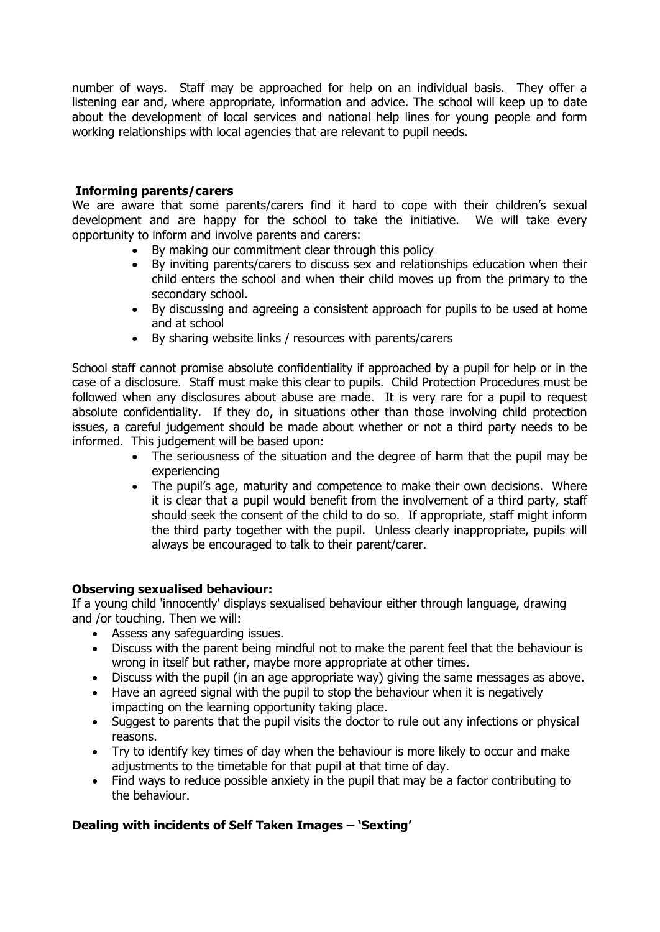number of ways. Staff may be approached for help on an individual basis. They offer a listening ear and, where appropriate, information and advice. The school will keep up to date about the development of local services and national help lines for young people and form working relationships with local agencies that are relevant to pupil needs.

### **Informing parents/carers**

We are aware that some parents/carers find it hard to cope with their children's sexual development and are happy for the school to take the initiative. We will take every opportunity to inform and involve parents and carers:

- By making our commitment clear through this policy
- By inviting parents/carers to discuss sex and relationships education when their child enters the school and when their child moves up from the primary to the secondary school.
- By discussing and agreeing a consistent approach for pupils to be used at home and at school
- By sharing website links / resources with parents/carers

School staff cannot promise absolute confidentiality if approached by a pupil for help or in the case of a disclosure. Staff must make this clear to pupils. Child Protection Procedures must be followed when any disclosures about abuse are made. It is very rare for a pupil to request absolute confidentiality. If they do, in situations other than those involving child protection issues, a careful judgement should be made about whether or not a third party needs to be informed. This judgement will be based upon:

- The seriousness of the situation and the degree of harm that the pupil may be experiencing
- The pupil's age, maturity and competence to make their own decisions. Where it is clear that a pupil would benefit from the involvement of a third party, staff should seek the consent of the child to do so. If appropriate, staff might inform the third party together with the pupil. Unless clearly inappropriate, pupils will always be encouraged to talk to their parent/carer.

### **Observing sexualised behaviour:**

If a young child 'innocently' displays sexualised behaviour either through language, drawing and /or touching. Then we will:

- Assess any safeguarding issues.
- Discuss with the parent being mindful not to make the parent feel that the behaviour is wrong in itself but rather, maybe more appropriate at other times.
- Discuss with the pupil (in an age appropriate way) giving the same messages as above.
- Have an agreed signal with the pupil to stop the behaviour when it is negatively impacting on the learning opportunity taking place.
- Suggest to parents that the pupil visits the doctor to rule out any infections or physical reasons.
- Try to identify key times of day when the behaviour is more likely to occur and make adjustments to the timetable for that pupil at that time of day.
- Find ways to reduce possible anxiety in the pupil that may be a factor contributing to the behaviour.

### **Dealing with incidents of Self Taken Images – 'Sexting'**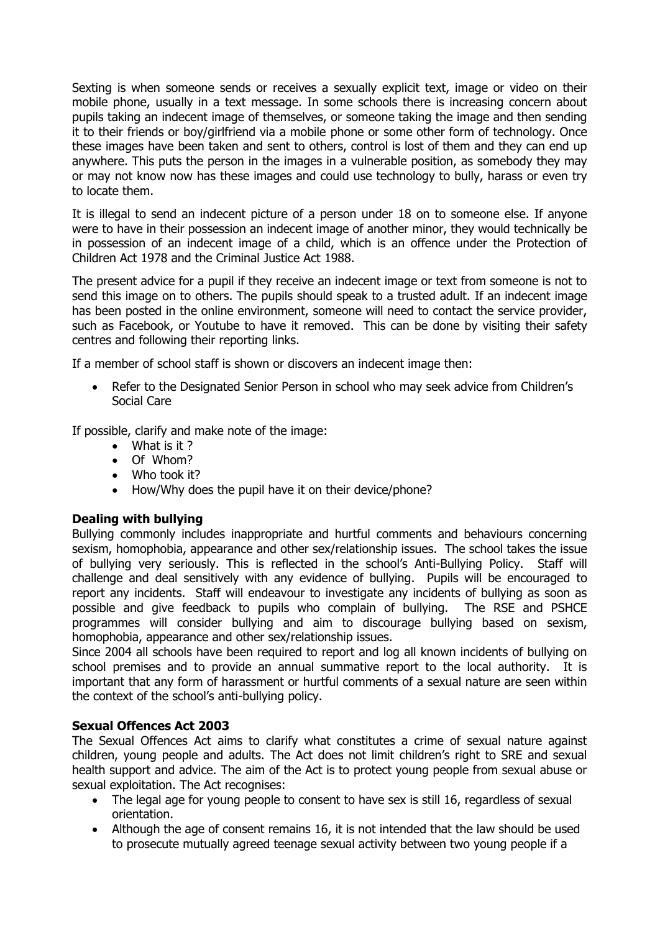Sexting is when someone sends or receives a sexually explicit text, image or video on their mobile phone, usually in a text message. In some schools there is increasing concern about pupils taking an indecent image of themselves, or someone taking the image and then sending it to their friends or boy/girlfriend via a mobile phone or some other form of technology. Once these images have been taken and sent to others, control is lost of them and they can end up anywhere. This puts the person in the images in a vulnerable position, as somebody they may or may not know now has these images and could use technology to bully, harass or even try to locate them.

It is illegal to send an indecent picture of a person under 18 on to someone else. If anyone were to have in their possession an indecent image of another minor, they would technically be in possession of an indecent image of a child, which is an offence under the Protection of Children Act 1978 and the Criminal Justice Act 1988.

The present advice for a pupil if they receive an indecent image or text from someone is not to send this image on to others. The pupils should speak to a trusted adult. If an indecent image has been posted in the online environment, someone will need to contact the service provider, such as Facebook, or Youtube to have it removed. This can be done by visiting their safety centres and following their reporting links.

If a member of school staff is shown or discovers an indecent image then:

• Refer to the Designated Senior Person in school who may seek advice from Children's Social Care

If possible, clarify and make note of the image:

- What is it ?
- Of Whom?
- Who took it?
- How/Why does the pupil have it on their device/phone?

# **Dealing with bullying**

Bullying commonly includes inappropriate and hurtful comments and behaviours concerning sexism, homophobia, appearance and other sex/relationship issues. The school takes the issue of bullying very seriously. This is reflected in the school's Anti-Bullying Policy. Staff will challenge and deal sensitively with any evidence of bullying. Pupils will be encouraged to report any incidents. Staff will endeavour to investigate any incidents of bullying as soon as possible and give feedback to pupils who complain of bullying. The RSE and PSHCE programmes will consider bullying and aim to discourage bullying based on sexism, homophobia, appearance and other sex/relationship issues.

Since 2004 all schools have been required to report and log all known incidents of bullying on school premises and to provide an annual summative report to the local authority. It is important that any form of harassment or hurtful comments of a sexual nature are seen within the context of the school's anti-bullying policy.

### **Sexual Offences Act 2003**

The Sexual Offences Act aims to clarify what constitutes a crime of sexual nature against children, young people and adults. The Act does not limit children's right to SRE and sexual health support and advice. The aim of the Act is to protect young people from sexual abuse or sexual exploitation. The Act recognises:

- The legal age for young people to consent to have sex is still 16, regardless of sexual orientation.
- Although the age of consent remains 16, it is not intended that the law should be used to prosecute mutually agreed teenage sexual activity between two young people if a